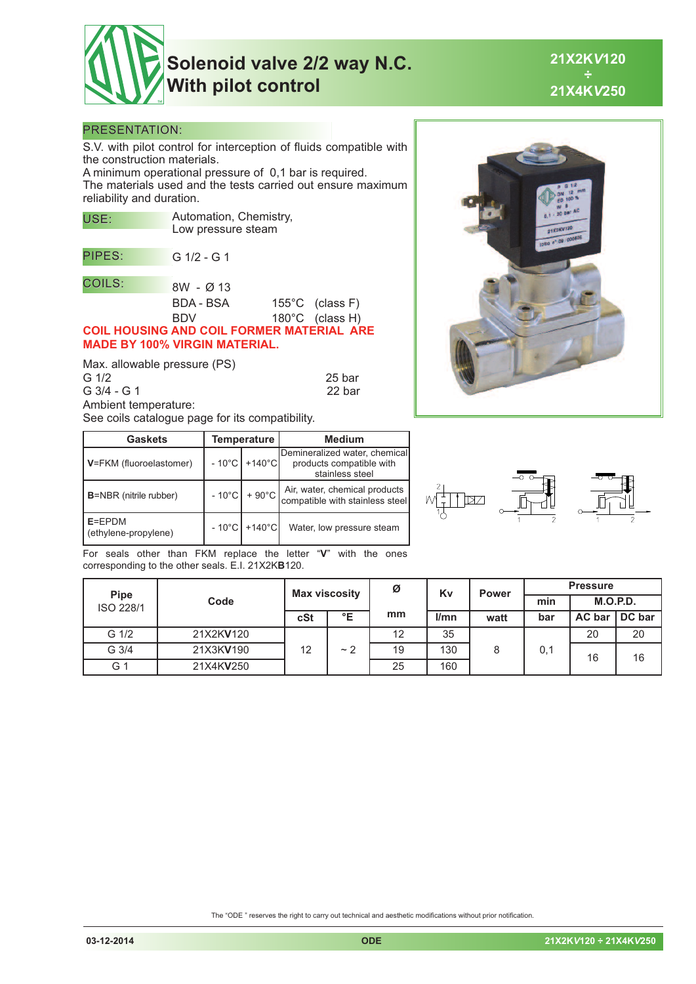

## **Solenoid valve 2/2 way N.C. With pilot control**

**21X2K***V***120 ÷ 21X4K***V***250**

## PRESENTATION:

S.V. with pilot control for interception of fluids compatible with the construction materials.

A minimum operational pressure of 0,1 bar is required. The materials used and the tests carried out ensure maximum reliability and duration.

| USE:                                             | Automation, Chemistry,<br>Low pressure steam |  |                           |  |  |  |  |  |
|--------------------------------------------------|----------------------------------------------|--|---------------------------|--|--|--|--|--|
| PIPES:                                           | $G$ 1/2 - G 1                                |  |                           |  |  |  |  |  |
| <b>COILS:</b>                                    | 8W - Ø 13                                    |  |                           |  |  |  |  |  |
|                                                  | BDA - BSA                                    |  | $155^{\circ}$ C (class F) |  |  |  |  |  |
|                                                  | BDV                                          |  | 180°C (class H)           |  |  |  |  |  |
| <b>COIL HOUSING AND COIL FORMER MATERIAL ARE</b> |                                              |  |                           |  |  |  |  |  |
| <b>MADE BY 100% VIRGIN MATERIAL.</b>             |                                              |  |                           |  |  |  |  |  |
|                                                  |                                              |  |                           |  |  |  |  |  |

Max. allowable pressure (PS)<br>G 1/2 G 1/2 25 bar G 3/4 - G 1 22 bar Ambient temperature: See coils catalogue page for its compatibility.

| <b>Gaskets</b>                 | Temperature     |                            | <b>Medium</b>                                                                |  |  |  |  |  |
|--------------------------------|-----------------|----------------------------|------------------------------------------------------------------------------|--|--|--|--|--|
| V=FKM (fluoroelastomer)        |                 | - 10°C +140°C <del>I</del> | Demineralized water, chemical<br>products compatible with<br>stainless steel |  |  |  |  |  |
| <b>B</b> =NBR (nitrile rubber) | $-10^{\circ}$ C | $+90^{\circ}$ C            | Air, water, chemical products<br>compatible with stainless steel             |  |  |  |  |  |
| E=EPDM<br>(ethylene-propylene) | $-10^{\circ}$ C | $+140^{\circ}$ C           | Water, low pressure steam                                                    |  |  |  |  |  |

hon

For seals other than FKM replace the letter "**V**" with the ones corresponding to the other seals. E.I. 21X2K**B**120.

| <b>Pipe</b><br>ISO 228/1 | Code      | <b>Max viscosity</b> |    | Ø  | Kv<br><b>Power</b> |      | <b>Pressure</b> |               |        |    |  |    |    |
|--------------------------|-----------|----------------------|----|----|--------------------|------|-----------------|---------------|--------|----|--|----|----|
|                          |           |                      |    |    |                    |      | min             | M.O.P.D.      |        |    |  |    |    |
|                          |           | cSt                  | °E | mm | l/mn               | watt | bar             | <b>AC</b> bar | DC bar |    |  |    |    |
| G 1/2                    | 21X2KV120 | 12                   |    |    |                    |      |                 | 12            | 35     |    |  | 20 | 20 |
| G 3/4                    | 21X3KV190 |                      |    | ~2 | 19                 | 130  | 8               | 0,1           | 16     | 16 |  |    |    |
| G 1                      | 21X4KV250 |                      |    | 25 | 160                |      |                 |               |        |    |  |    |    |